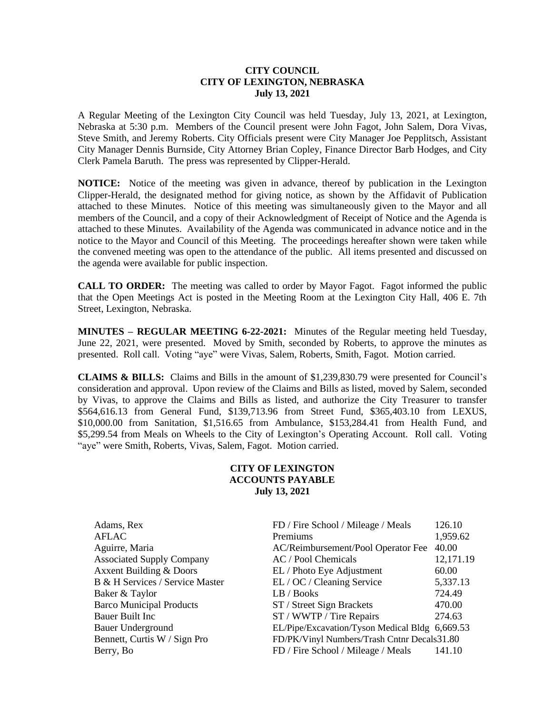## **CITY COUNCIL CITY OF LEXINGTON, NEBRASKA July 13, 2021**

A Regular Meeting of the Lexington City Council was held Tuesday, July 13, 2021, at Lexington, Nebraska at 5:30 p.m. Members of the Council present were John Fagot, John Salem, Dora Vivas, Steve Smith, and Jeremy Roberts. City Officials present were City Manager Joe Pepplitsch, Assistant City Manager Dennis Burnside, City Attorney Brian Copley, Finance Director Barb Hodges, and City Clerk Pamela Baruth. The press was represented by Clipper-Herald.

**NOTICE:** Notice of the meeting was given in advance, thereof by publication in the Lexington Clipper-Herald, the designated method for giving notice, as shown by the Affidavit of Publication attached to these Minutes. Notice of this meeting was simultaneously given to the Mayor and all members of the Council, and a copy of their Acknowledgment of Receipt of Notice and the Agenda is attached to these Minutes. Availability of the Agenda was communicated in advance notice and in the notice to the Mayor and Council of this Meeting. The proceedings hereafter shown were taken while the convened meeting was open to the attendance of the public. All items presented and discussed on the agenda were available for public inspection.

**CALL TO ORDER:** The meeting was called to order by Mayor Fagot. Fagot informed the public that the Open Meetings Act is posted in the Meeting Room at the Lexington City Hall, 406 E. 7th Street, Lexington, Nebraska.

**MINUTES – REGULAR MEETING 6-22-2021:** Minutes of the Regular meeting held Tuesday, June 22, 2021, were presented. Moved by Smith, seconded by Roberts, to approve the minutes as presented. Roll call. Voting "aye" were Vivas, Salem, Roberts, Smith, Fagot. Motion carried.

**CLAIMS & BILLS:** Claims and Bills in the amount of \$1,239,830.79 were presented for Council's consideration and approval. Upon review of the Claims and Bills as listed, moved by Salem, seconded by Vivas, to approve the Claims and Bills as listed, and authorize the City Treasurer to transfer \$564,616.13 from General Fund, \$139,713.96 from Street Fund, \$365,403.10 from LEXUS, \$10,000.00 from Sanitation, \$1,516.65 from Ambulance, \$153,284.41 from Health Fund, and \$5,299.54 from Meals on Wheels to the City of Lexington's Operating Account. Roll call. Voting "aye" were Smith, Roberts, Vivas, Salem, Fagot. Motion carried.

# **CITY OF LEXINGTON ACCOUNTS PAYABLE July 13, 2021**

| Adams, Rex                         | FD / Fire School / Mileage / Meals             | 126.10    |
|------------------------------------|------------------------------------------------|-----------|
| <b>AFLAC</b>                       | Premiums                                       | 1,959.62  |
| Aguirre, Maria                     | AC/Reimbursement/Pool Operator Fee             | 40.00     |
| <b>Associated Supply Company</b>   | AC / Pool Chemicals                            | 12,171.19 |
| <b>Axxent Building &amp; Doors</b> | EL / Photo Eye Adjustment                      | 60.00     |
| B & H Services / Service Master    | EL / OC / Cleaning Service                     | 5,337.13  |
| Baker & Taylor                     | LB / Books                                     | 724.49    |
| <b>Barco Municipal Products</b>    | ST / Street Sign Brackets                      | 470.00    |
| Bauer Built Inc                    | ST / WWTP / Tire Repairs                       | 274.63    |
| <b>Bauer Underground</b>           | EL/Pipe/Excavation/Tyson Medical Bldg 6,669.53 |           |
| Bennett, Curtis W / Sign Pro       | FD/PK/Vinyl Numbers/Trash Cntnr Decals31.80    |           |
| Berry, Bo                          | FD / Fire School / Mileage / Meals             | 141.10    |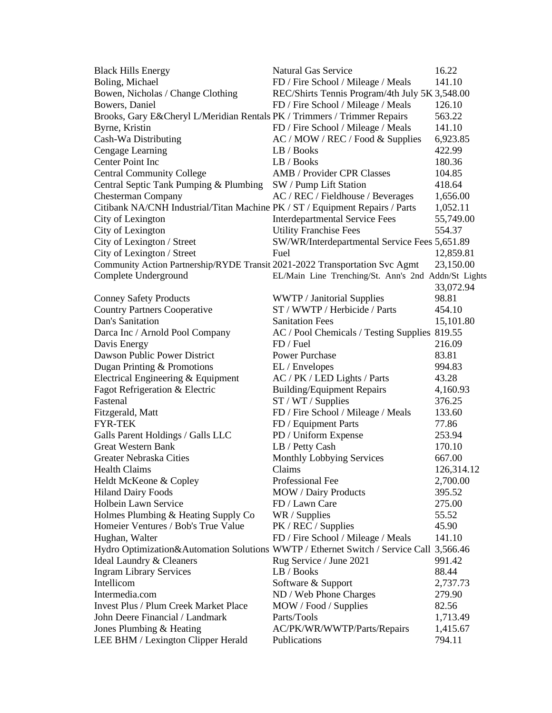| <b>Black Hills Energy</b>                                                              | <b>Natural Gas Service</b>                          | 16.22      |
|----------------------------------------------------------------------------------------|-----------------------------------------------------|------------|
| Boling, Michael                                                                        | FD / Fire School / Mileage / Meals                  | 141.10     |
| Bowen, Nicholas / Change Clothing                                                      | REC/Shirts Tennis Program/4th July 5K 3,548.00      |            |
| Bowers, Daniel                                                                         | FD / Fire School / Mileage / Meals                  | 126.10     |
| Brooks, Gary E&Cheryl L/Meridian Rentals PK / Trimmers / Trimmer Repairs               |                                                     | 563.22     |
| Byrne, Kristin                                                                         | FD / Fire School / Mileage / Meals                  | 141.10     |
| Cash-Wa Distributing                                                                   | AC / MOW / REC / Food & Supplies                    | 6,923.85   |
| Cengage Learning                                                                       | LB / Books                                          | 422.99     |
| Center Point Inc                                                                       | LB / Books                                          | 180.36     |
| <b>Central Community College</b>                                                       | AMB / Provider CPR Classes                          | 104.85     |
| Central Septic Tank Pumping & Plumbing                                                 | SW / Pump Lift Station                              | 418.64     |
| <b>Chesterman Company</b>                                                              | AC / REC / Fieldhouse / Beverages                   | 1,656.00   |
| Citibank NA/CNH Industrial/Titan Machine PK / ST / Equipment Repairs / Parts           |                                                     | 1,052.11   |
| City of Lexington                                                                      | <b>Interdepartmental Service Fees</b>               | 55,749.00  |
| City of Lexington                                                                      | <b>Utility Franchise Fees</b>                       | 554.37     |
| City of Lexington / Street                                                             | SW/WR/Interdepartmental Service Fees 5,651.89       |            |
| City of Lexington / Street                                                             | Fuel                                                | 12,859.81  |
| Community Action Partnership/RYDE Transit 2021-2022 Transportation Svc Agmt            |                                                     | 23,150.00  |
| Complete Underground                                                                   | EL/Main Line Trenching/St. Ann's 2nd Addn/St Lights |            |
|                                                                                        |                                                     | 33,072.94  |
| <b>Conney Safety Products</b>                                                          | WWTP / Janitorial Supplies                          | 98.81      |
| <b>Country Partners Cooperative</b>                                                    | ST / WWTP / Herbicide / Parts                       | 454.10     |
| Dan's Sanitation                                                                       | <b>Sanitation Fees</b>                              | 15,101.80  |
| Darca Inc / Arnold Pool Company                                                        | AC / Pool Chemicals / Testing Supplies 819.55       |            |
| Davis Energy                                                                           | FD / Fuel                                           | 216.09     |
| Dawson Public Power District                                                           | Power Purchase                                      | 83.81      |
| Dugan Printing & Promotions                                                            | EL / Envelopes                                      | 994.83     |
| Electrical Engineering & Equipment                                                     | AC / PK / LED Lights / Parts                        | 43.28      |
| Fagot Refrigeration & Electric                                                         | <b>Building/Equipment Repairs</b>                   | 4,160.93   |
| Fastenal                                                                               | ST / WT / Supplies                                  | 376.25     |
| Fitzgerald, Matt                                                                       | FD / Fire School / Mileage / Meals                  | 133.60     |
| <b>FYR-TEK</b>                                                                         | FD / Equipment Parts                                | 77.86      |
| Galls Parent Holdings / Galls LLC                                                      | PD / Uniform Expense                                | 253.94     |
| <b>Great Western Bank</b>                                                              | LB / Petty Cash                                     | 170.10     |
| Greater Nebraska Cities                                                                | Monthly Lobbying Services                           | 667.00     |
| <b>Health Claims</b>                                                                   | Claims                                              | 126,314.12 |
| Heldt McKeone & Copley                                                                 | Professional Fee                                    | 2,700.00   |
| <b>Hiland Dairy Foods</b>                                                              | <b>MOW</b> / Dairy Products                         | 395.52     |
| Holbein Lawn Service                                                                   | FD / Lawn Care                                      | 275.00     |
| Holmes Plumbing & Heating Supply Co                                                    | WR / Supplies                                       | 55.52      |
| Homeier Ventures / Bob's True Value                                                    | PK / REC / Supplies                                 | 45.90      |
| Hughan, Walter                                                                         | FD / Fire School / Mileage / Meals                  | 141.10     |
| Hydro Optimization&Automation Solutions WWTP / Ethernet Switch / Service Call 3,566.46 |                                                     |            |
| Ideal Laundry & Cleaners                                                               | Rug Service / June 2021                             | 991.42     |
| <b>Ingram Library Services</b>                                                         | LB / Books                                          | 88.44      |
| Intellicom                                                                             | Software & Support                                  | 2,737.73   |
| Intermedia.com                                                                         | ND / Web Phone Charges                              | 279.90     |
| <b>Invest Plus / Plum Creek Market Place</b>                                           | MOW / Food / Supplies                               | 82.56      |
| John Deere Financial / Landmark                                                        | Parts/Tools                                         | 1,713.49   |
| Jones Plumbing & Heating                                                               | AC/PK/WR/WWTP/Parts/Repairs                         | 1,415.67   |
| LEE BHM / Lexington Clipper Herald                                                     | Publications                                        | 794.11     |
|                                                                                        |                                                     |            |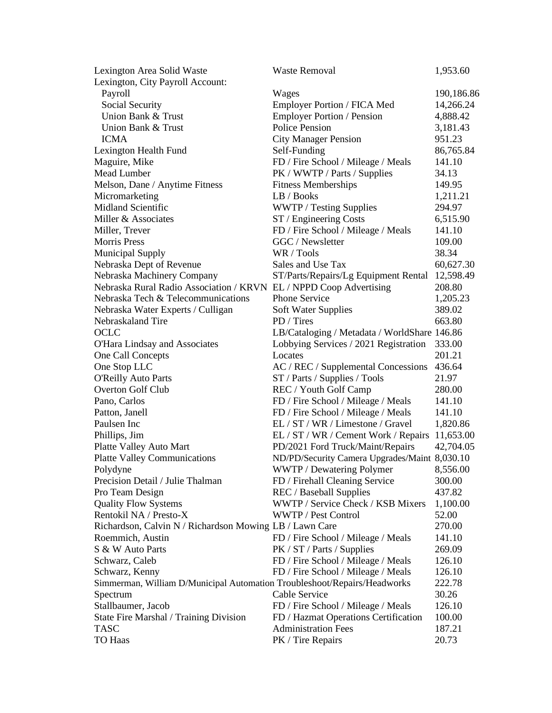| Lexington Area Solid Waste                                               | <b>Waste Removal</b>                          | 1,953.60   |
|--------------------------------------------------------------------------|-----------------------------------------------|------------|
| Lexington, City Payroll Account:                                         |                                               |            |
| Payroll                                                                  | Wages                                         | 190,186.86 |
| Social Security                                                          | Employer Portion / FICA Med                   | 14,266.24  |
| Union Bank & Trust                                                       | <b>Employer Portion / Pension</b>             | 4,888.42   |
| Union Bank & Trust                                                       | <b>Police Pension</b>                         | 3,181.43   |
| <b>ICMA</b>                                                              | <b>City Manager Pension</b>                   | 951.23     |
| Lexington Health Fund                                                    | Self-Funding                                  | 86,765.84  |
| Maguire, Mike                                                            | FD / Fire School / Mileage / Meals            | 141.10     |
| Mead Lumber                                                              | PK / WWTP / Parts / Supplies                  | 34.13      |
| Melson, Dane / Anytime Fitness                                           | <b>Fitness Memberships</b>                    | 149.95     |
| Micromarketing                                                           | LB / Books                                    | 1,211.21   |
| <b>Midland Scientific</b>                                                | WWTP / Testing Supplies                       | 294.97     |
| Miller & Associates                                                      | ST / Engineering Costs                        | 6,515.90   |
| Miller, Trever                                                           | FD / Fire School / Mileage / Meals            | 141.10     |
| <b>Morris Press</b>                                                      | GGC / Newsletter                              | 109.00     |
| <b>Municipal Supply</b>                                                  | WR / Tools                                    | 38.34      |
| Nebraska Dept of Revenue                                                 | Sales and Use Tax                             | 60,627.30  |
| Nebraska Machinery Company                                               | ST/Parts/Repairs/Lg Equipment Rental          | 12,598.49  |
| Nebraska Rural Radio Association / KRVN EL / NPPD Coop Advertising       |                                               | 208.80     |
| Nebraska Tech & Telecommunications                                       | <b>Phone Service</b>                          | 1,205.23   |
| Nebraska Water Experts / Culligan                                        | <b>Soft Water Supplies</b>                    | 389.02     |
| Nebraskaland Tire                                                        | PD / Tires                                    | 663.80     |
| OCLC                                                                     | LB/Cataloging / Metadata / WorldShare 146.86  |            |
| O'Hara Lindsay and Associates                                            | Lobbying Services / 2021 Registration         | 333.00     |
| One Call Concepts                                                        | Locates                                       | 201.21     |
| One Stop LLC                                                             | AC / REC / Supplemental Concessions           | 436.64     |
| <b>O'Reilly Auto Parts</b>                                               | ST / Parts / Supplies / Tools                 | 21.97      |
| <b>Overton Golf Club</b>                                                 | REC / Youth Golf Camp                         | 280.00     |
| Pano, Carlos                                                             | FD / Fire School / Mileage / Meals            | 141.10     |
| Patton, Janell                                                           | FD / Fire School / Mileage / Meals            | 141.10     |
| Paulsen Inc                                                              | EL / ST / WR / Limestone / Gravel             | 1,820.86   |
| Phillips, Jim                                                            | EL / ST / WR / Cement Work / Repairs          | 11,653.00  |
| Platte Valley Auto Mart                                                  | PD/2021 Ford Truck/Maint/Repairs              | 42,704.05  |
| <b>Platte Valley Communications</b>                                      | ND/PD/Security Camera Upgrades/Maint 8,030.10 |            |
| Polydyne                                                                 | WWTP / Dewatering Polymer                     | 8,556.00   |
| Precision Detail / Julie Thalman                                         | FD / Firehall Cleaning Service                | 300.00     |
| Pro Team Design                                                          | <b>REC</b> / Baseball Supplies                | 437.82     |
| <b>Quality Flow Systems</b>                                              | WWTP / Service Check / KSB Mixers             | 1,100.00   |
| Rentokil NA / Presto-X                                                   | WWTP / Pest Control                           | 52.00      |
|                                                                          |                                               |            |
| Richardson, Calvin N / Richardson Mowing LB / Lawn Care                  |                                               | 270.00     |
| Roemmich, Austin<br>S & W Auto Parts                                     | FD / Fire School / Mileage / Meals            | 141.10     |
|                                                                          | PK / ST / Parts / Supplies                    | 269.09     |
| Schwarz, Caleb                                                           | FD / Fire School / Mileage / Meals            | 126.10     |
| Schwarz, Kenny                                                           | FD / Fire School / Mileage / Meals            | 126.10     |
| Simmerman, William D/Municipal Automation Troubleshoot/Repairs/Headworks |                                               | 222.78     |
| Spectrum                                                                 | Cable Service                                 | 30.26      |
| Stallbaumer, Jacob                                                       | FD / Fire School / Mileage / Meals            | 126.10     |
| State Fire Marshal / Training Division                                   | FD / Hazmat Operations Certification          | 100.00     |
| <b>TASC</b>                                                              | <b>Administration Fees</b>                    | 187.21     |
| TO Haas                                                                  | PK / Tire Repairs                             | 20.73      |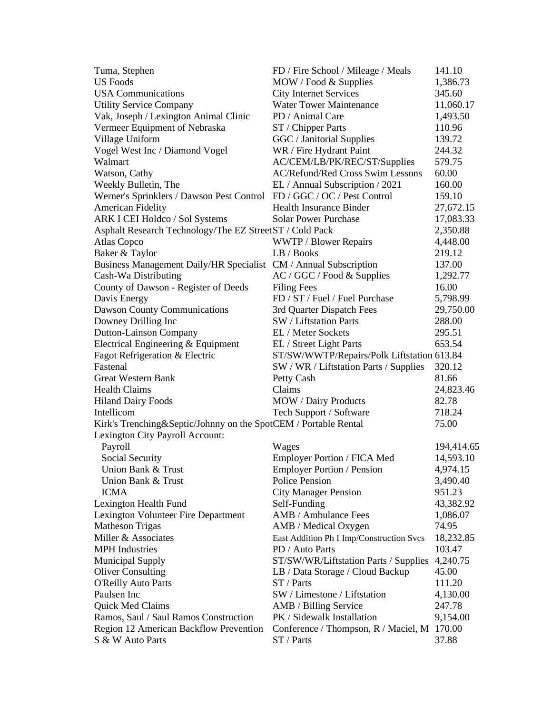| Tuma, Stephen                                                          | FD / Fire School / Mileage / Meals                  | 141.10     |
|------------------------------------------------------------------------|-----------------------------------------------------|------------|
| <b>US Foods</b>                                                        | MOW / Food & Supplies                               | 1,386.73   |
| <b>USA Communications</b>                                              | <b>City Internet Services</b>                       | 345.60     |
| <b>Utility Service Company</b>                                         | <b>Water Tower Maintenance</b>                      | 11,060.17  |
| Vak, Joseph / Lexington Animal Clinic                                  | PD / Animal Care                                    | 1,493.50   |
| Vermeer Equipment of Nebraska                                          | ST / Chipper Parts                                  | 110.96     |
| Village Uniform                                                        | GGC / Janitorial Supplies                           | 139.72     |
| Vogel West Inc / Diamond Vogel                                         | WR / Fire Hydrant Paint                             | 244.32     |
| Walmart                                                                | AC/CEM/LB/PK/REC/ST/Supplies                        | 579.75     |
| Watson, Cathy                                                          | <b>AC/Refund/Red Cross Swim Lessons</b>             | 60.00      |
| Weekly Bulletin, The                                                   | EL / Annual Subscription / 2021                     | 160.00     |
| Werner's Sprinklers / Dawson Pest Control FD / GGC / OC / Pest Control |                                                     | 159.10     |
| <b>American Fidelity</b>                                               | <b>Health Insurance Binder</b>                      | 27,672.15  |
| ARK I CEI Holdco / Sol Systems                                         | <b>Solar Power Purchase</b>                         | 17,083.33  |
| Asphalt Research Technology/The EZ StreetST / Cold Pack                |                                                     | 2,350.88   |
| Atlas Copco                                                            | <b>WWTP / Blower Repairs</b>                        | 4,448.00   |
| Baker & Taylor                                                         | LB / Books                                          | 219.12     |
| Business Management Daily/HR Specialist CM / Annual Subscription       |                                                     | 137.00     |
| Cash-Wa Distributing                                                   | AC / GGC / Food & Supplies                          | 1,292.77   |
| County of Dawson - Register of Deeds                                   | <b>Filing Fees</b>                                  | 16.00      |
| Davis Energy                                                           | FD / ST / Fuel / Fuel Purchase                      | 5,798.99   |
|                                                                        |                                                     | 29,750.00  |
| <b>Dawson County Communications</b>                                    | 3rd Quarter Dispatch Fees<br>SW / Liftstation Parts | 288.00     |
| Downey Drilling Inc                                                    | EL / Meter Sockets                                  | 295.51     |
| Dutton-Lainson Company                                                 |                                                     | 653.54     |
| Electrical Engineering & Equipment                                     | EL / Street Light Parts                             |            |
| Fagot Refrigeration & Electric<br>Fastenal                             | ST/SW/WWTP/Repairs/Polk Liftstation 613.84          |            |
|                                                                        | SW / WR / Liftstation Parts / Supplies              | 320.12     |
| <b>Great Western Bank</b>                                              | Petty Cash                                          | 81.66      |
| <b>Health Claims</b>                                                   | Claims                                              | 24,823.46  |
| <b>Hiland Dairy Foods</b>                                              | <b>MOW</b> / Dairy Products                         | 82.78      |
| Intellicom                                                             | Tech Support / Software                             | 718.24     |
| Kirk's Trenching&Septic/Johnny on the SpotCEM / Portable Rental        |                                                     | 75.00      |
| Lexington City Payroll Account:                                        |                                                     |            |
| Payroll                                                                | Wages                                               | 194,414.65 |
| Social Security                                                        | Employer Portion / FICA Med                         | 14,593.10  |
| Union Bank & Trust                                                     | <b>Employer Portion / Pension</b>                   | 4,974.15   |
| Union Bank & Trust                                                     | Police Pension                                      | 3,490.40   |
| <b>ICMA</b>                                                            | <b>City Manager Pension</b>                         | 951.23     |
| Lexington Health Fund                                                  | Self-Funding                                        | 43,382.92  |
| Lexington Volunteer Fire Department                                    | AMB / Ambulance Fees                                | 1,086.07   |
| <b>Matheson Trigas</b>                                                 | AMB / Medical Oxygen                                | 74.95      |
| Miller & Associates                                                    | East Addition Ph I Imp/Construction Svcs            | 18,232.85  |
| <b>MPH</b> Industries                                                  | PD / Auto Parts                                     | 103.47     |
| <b>Municipal Supply</b>                                                | ST/SW/WR/Liftstation Parts / Supplies               | 4,240.75   |
| <b>Oliver Consulting</b>                                               | LB / Data Storage / Cloud Backup                    | 45.00      |
| <b>O'Reilly Auto Parts</b>                                             | ST / Parts                                          | 111.20     |
| Paulsen Inc                                                            | SW / Limestone / Liftstation                        | 4,130.00   |
| Quick Med Claims                                                       | AMB / Billing Service                               | 247.78     |
| Ramos, Saul / Saul Ramos Construction                                  | PK / Sidewalk Installation                          | 9,154.00   |
| Region 12 American Backflow Prevention                                 | Conference / Thompson, R / Maciel, M 170.00         |            |
| S & W Auto Parts                                                       | ST / Parts                                          | 37.88      |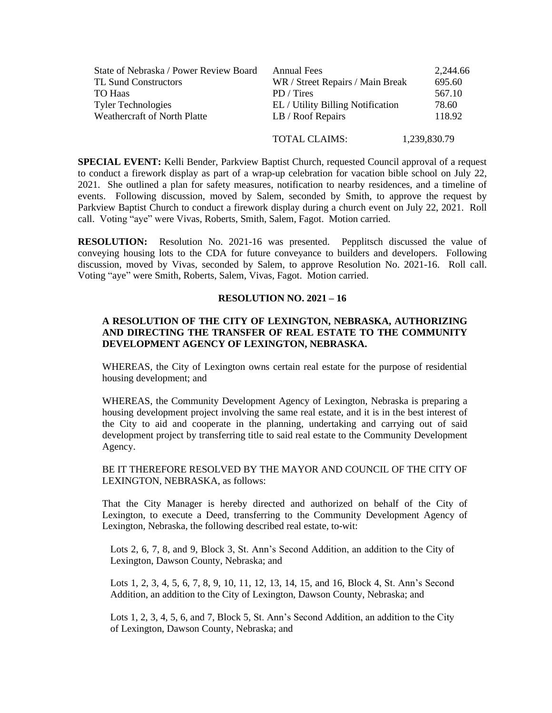| State of Nebraska / Power Review Board | <b>Annual Fees</b>                | 2.244.66     |
|----------------------------------------|-----------------------------------|--------------|
| <b>TL Sund Constructors</b>            | WR / Street Repairs / Main Break  | 695.60       |
| TO Haas                                | PD / Tires                        | 567.10       |
| <b>Tyler Technologies</b>              | EL / Utility Billing Notification | 78.60        |
| Weathercraft of North Platte           | LB / Roof Repairs                 | 118.92       |
|                                        | <b>TOTAL CLAIMS:</b>              | 1,239,830.79 |

**SPECIAL EVENT:** Kelli Bender, Parkview Baptist Church, requested Council approval of a request to conduct a firework display as part of a wrap-up celebration for vacation bible school on July 22, 2021. She outlined a plan for safety measures, notification to nearby residences, and a timeline of events. Following discussion, moved by Salem, seconded by Smith, to approve the request by Parkview Baptist Church to conduct a firework display during a church event on July 22, 2021. Roll call. Voting "aye" were Vivas, Roberts, Smith, Salem, Fagot. Motion carried.

**RESOLUTION:** Resolution No. 2021-16 was presented. Pepplitsch discussed the value of conveying housing lots to the CDA for future conveyance to builders and developers. Following discussion, moved by Vivas, seconded by Salem, to approve Resolution No. 2021-16. Roll call. Voting "aye" were Smith, Roberts, Salem, Vivas, Fagot. Motion carried.

## **RESOLUTION NO. 2021 – 16**

## **A RESOLUTION OF THE CITY OF LEXINGTON, NEBRASKA, AUTHORIZING AND DIRECTING THE TRANSFER OF REAL ESTATE TO THE COMMUNITY DEVELOPMENT AGENCY OF LEXINGTON, NEBRASKA.**

WHEREAS, the City of Lexington owns certain real estate for the purpose of residential housing development; and

WHEREAS, the Community Development Agency of Lexington, Nebraska is preparing a housing development project involving the same real estate, and it is in the best interest of the City to aid and cooperate in the planning, undertaking and carrying out of said development project by transferring title to said real estate to the Community Development Agency.

BE IT THEREFORE RESOLVED BY THE MAYOR AND COUNCIL OF THE CITY OF LEXINGTON, NEBRASKA, as follows:

That the City Manager is hereby directed and authorized on behalf of the City of Lexington, to execute a Deed, transferring to the Community Development Agency of Lexington, Nebraska, the following described real estate, to-wit:

Lots 2, 6, 7, 8, and 9, Block 3, St. Ann's Second Addition, an addition to the City of Lexington, Dawson County, Nebraska; and

Lots 1, 2, 3, 4, 5, 6, 7, 8, 9, 10, 11, 12, 13, 14, 15, and 16, Block 4, St. Ann's Second Addition, an addition to the City of Lexington, Dawson County, Nebraska; and

Lots 1, 2, 3, 4, 5, 6, and 7, Block 5, St. Ann's Second Addition, an addition to the City of Lexington, Dawson County, Nebraska; and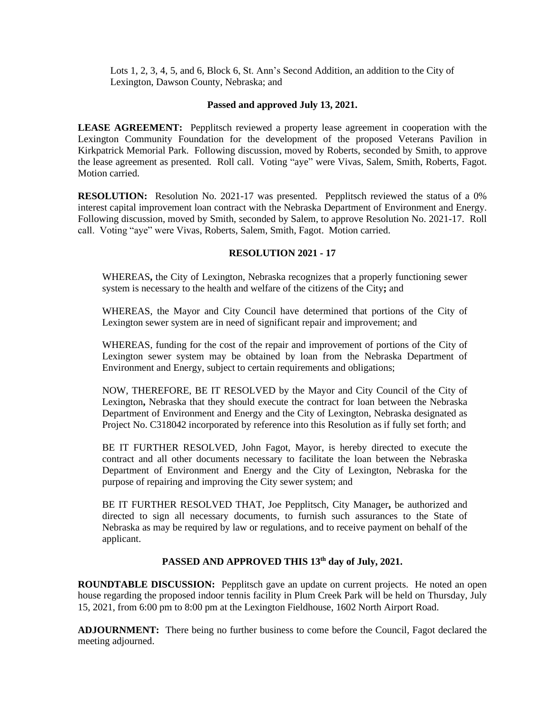Lots 1, 2, 3, 4, 5, and 6, Block 6, St. Ann's Second Addition, an addition to the City of Lexington, Dawson County, Nebraska; and

#### **Passed and approved July 13, 2021.**

**LEASE AGREEMENT:** Pepplitsch reviewed a property lease agreement in cooperation with the Lexington Community Foundation for the development of the proposed Veterans Pavilion in Kirkpatrick Memorial Park. Following discussion, moved by Roberts, seconded by Smith, to approve the lease agreement as presented. Roll call. Voting "aye" were Vivas, Salem, Smith, Roberts, Fagot. Motion carried.

**RESOLUTION:** Resolution No. 2021-17 was presented. Pepplitsch reviewed the status of a 0% interest capital improvement loan contract with the Nebraska Department of Environment and Energy. Following discussion, moved by Smith, seconded by Salem, to approve Resolution No. 2021-17. Roll call. Voting "aye" were Vivas, Roberts, Salem, Smith, Fagot. Motion carried.

## **RESOLUTION 2021 - 17**

WHEREAS**,** the City of Lexington, Nebraska recognizes that a properly functioning sewer system is necessary to the health and welfare of the citizens of the City**;** and

WHEREAS, the Mayor and City Council have determined that portions of the City of Lexington sewer system are in need of significant repair and improvement; and

WHEREAS, funding for the cost of the repair and improvement of portions of the City of Lexington sewer system may be obtained by loan from the Nebraska Department of Environment and Energy, subject to certain requirements and obligations;

NOW, THEREFORE, BE IT RESOLVED by the Mayor and City Council of the City of Lexington**,** Nebraska that they should execute the contract for loan between the Nebraska Department of Environment and Energy and the City of Lexington, Nebraska designated as Project No. C318042 incorporated by reference into this Resolution as if fully set forth; and

BE IT FURTHER RESOLVED, John Fagot, Mayor, is hereby directed to execute the contract and all other documents necessary to facilitate the loan between the Nebraska Department of Environment and Energy and the City of Lexington, Nebraska for the purpose of repairing and improving the City sewer system; and

BE IT FURTHER RESOLVED THAT, Joe Pepplitsch, City Manager**,** be authorized and directed to sign all necessary documents, to furnish such assurances to the State of Nebraska as may be required by law or regulations, and to receive payment on behalf of the applicant.

## **PASSED AND APPROVED THIS 13th day of July, 2021.**

**ROUNDTABLE DISCUSSION:** Pepplitsch gave an update on current projects. He noted an open house regarding the proposed indoor tennis facility in Plum Creek Park will be held on Thursday, July 15, 2021, from 6:00 pm to 8:00 pm at the Lexington Fieldhouse, 1602 North Airport Road.

**ADJOURNMENT:** There being no further business to come before the Council, Fagot declared the meeting adjourned.